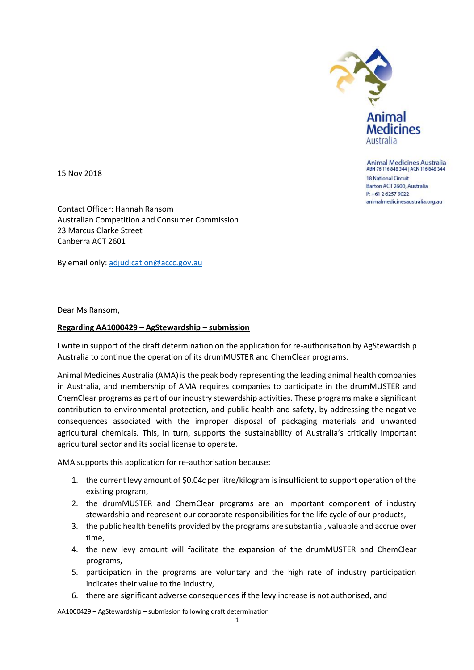

**Animal Medicines Australia** ABN 76 116 848 344 | ACN 116 848 344

**18 National Circuit** Barton ACT 2600, Australia P: +61 2 6257 9022 animalmedicinesaustralia.org.au

15 Nov 2018

Contact Officer: Hannah Ransom Australian Competition and Consumer Commission 23 Marcus Clarke Street Canberra ACT 2601

By email only: [adjudication@accc.gov.au](mailto:adjudication@accc.gov.au)

Dear Ms Ransom,

## **Regarding AA1000429 – AgStewardship – submission**

I write in support of the draft determination on the application for re-authorisation by AgStewardship Australia to continue the operation of its drumMUSTER and ChemClear programs.

Animal Medicines Australia (AMA) is the peak body representing the leading animal health companies in Australia, and membership of AMA requires companies to participate in the drumMUSTER and ChemClear programs as part of our industry stewardship activities. These programs make a significant contribution to environmental protection, and public health and safety, by addressing the negative consequences associated with the improper disposal of packaging materials and unwanted agricultural chemicals. This, in turn, supports the sustainability of Australia's critically important agricultural sector and its social license to operate.

AMA supports this application for re-authorisation because:

- 1. the current levy amount of \$0.04c per litre/kilogram is insufficient to support operation of the existing program,
- 2. the drumMUSTER and ChemClear programs are an important component of industry stewardship and represent our corporate responsibilities for the life cycle of our products,
- 3. the public health benefits provided by the programs are substantial, valuable and accrue over time,
- 4. the new levy amount will facilitate the expansion of the drumMUSTER and ChemClear programs,
- 5. participation in the programs are voluntary and the high rate of industry participation indicates their value to the industry,
- 6. there are significant adverse consequences if the levy increase is not authorised, and